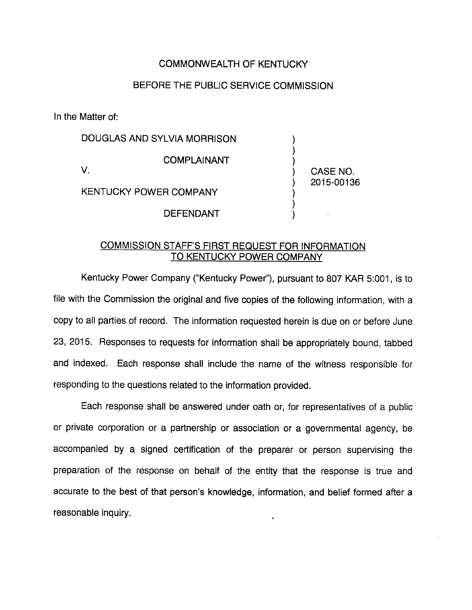## COMMONWEALTH OF KENTUCKY

## BEFORE THE PUBLIC SERVICE COMMISSION

In the Matter of:

DOUGLAS AND SYLVIA MORRISON COMPLAINANT V. KENTUCKY POWER COMPANY DEFENDANT CASE NO. 2015-00136

## COMMISSION STAFF'S FIRST REQUEST FOR INFORMATION TO KENTUCKY POWER COMPANY

Kentucky Power Company ("Kentucky Power"), pursuant to 807 KAR 5:001, is to file with the Commission the original and five copies of the following information, with a copy to all parties of record. The information requested herein is due on or before June 23, 2015. Responses to requests for information shall be appropriately bound, tabbed and indexed. Each response shall include the name of the witness responsible for responding to the questions related to the information provided.

Each response shall be answered under oath or, for representatives of a public or private corporation or a partnership or association or a governmental agency, be accompanied by a signed certification of the preparer or person supervising the preparation of the response on behalf of the entity that the response is true and accurate to the best of that person's knowledge, information, and belief formed after a reasonable inquiry. í,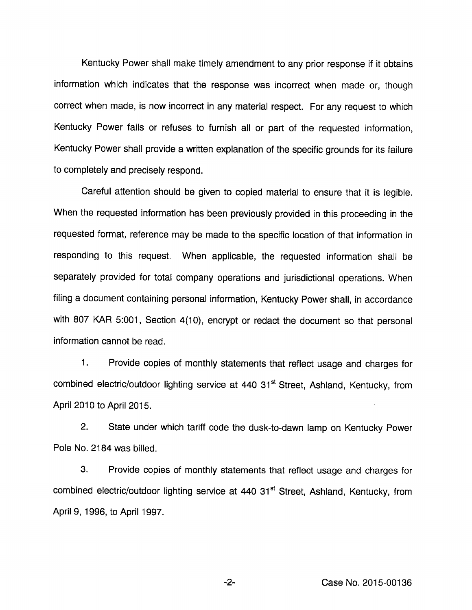Kentucky Power shall make timely amendment to any prior response if it obtains information which indicates that the response was incorrect when made or, though correct when made, is now incorrect in any material respect. For any request to which Kentucky Power fails or refuses to furnish all or part of the requested information, Kentucky Power shall provide a written explanation of the specific grounds for its failure to completely and precisely respond.

Careful attention should be given to copied material to ensure that it is legible. When the requested information has been previously provided in this proceeding in the requested format, reference may be made to the specific location of that information in responding to this request. When applicable, the requested information shall be separately provided for total company operations and jurisdictional operations. When filing a document containing personal information, Kentucky Power shall, in accordance with 807 KAR 5:001, Section 4(10), encrypt or redact the document so that personal information cannot be read.

1. Provide copies of monthly statements that reflect usage and charges for combined electric/outdoor lighting service at 440 31<sup>st</sup> Street, Ashland, Kentucky, from April 2010 to April 2015.

2. State under which tariff code the dusk-to-dawn lamp on Kentucky Power Pole No. 2184 was billed.

3. Provide copies of monthly statements that reflect usage and charges for combined electric/outdoor lighting service at 440 31<sup>st</sup> Street, Ashland, Kentucky, from April 9, 1996, to April 1997.

Case No. 2015-00136

 $-2-$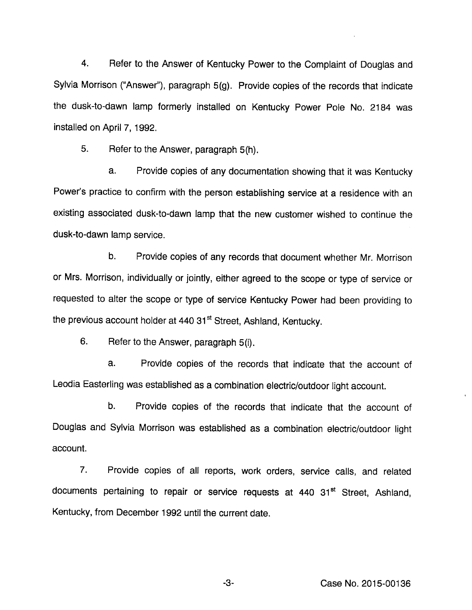4. Refer to the Answer of Kentucky Power to the Complaint of Douglas and Sylvia Morrison ("Answer"), paragraph 5(g). Provide copies of the records that indicate the dusk-to-dawn lamp formerly installed on Kentucky Power Pole No. 2184 was installed on April 7,1992.

5. Refer to the Answer, paragraph 5(h).

a. Provide copies of any documentation showing that it was Kentucky Power's practice to confirm with the person establishing service at a residence with an existing associated dusk-to-dawn lamp that the new customer wished to continue the dusk-to-dawn lamp service.

b. Provide copies of any records that document whether Mr. Morrison or Mrs. Morrison, individually or jointly, either agreed to the scope or type of service or requested to alter the scope or type of service Kentucky Power had been providing to the previous account holder at 440 31<sup>st</sup> Street, Ashland, Kentucky.

6. Refer to the Answer, paragraph 5(i).

a. Provide copies of the records that indicate that the account of Leodia Easterling was established as a combination electric/outdoor light account.

b. Provide copies of the records that indicate that the account of Douglas and Sylvia Morrison was established as a combination electric/outdoor light account.

7. Provide copies of all reports, work orders, service calls, and related documents pertaining to repair or service requests at 440 31<sup>st</sup> Street, Ashland, Kentucky, from December 1992 until the current date.

-3- Case No. 2015-00136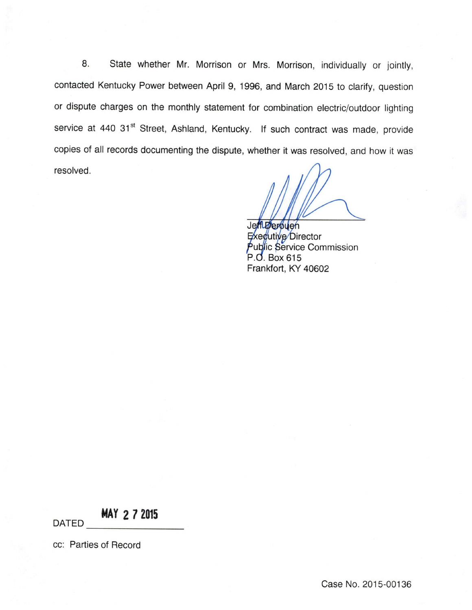8. State whether Mr. Morrison or Mrs. Morrison, individually or jointly, contacted Kentucky Power between April 9, 1996, and March 2015 to clarify, question or dispute charges on the monthly statement for combination electric/outdoor lighting service at 440 31<sup>st</sup> Street, Ashland, Kentucky. If such contract was made, provide copies of all records documenting the dispute, whether it was resolved, and how it was resolved.

JeffLøerbuen Exegutive Director Public Service Commission P.O. Box 615 Frankfort, KY 40602

MAV 2 7 2015

DATED

cc: Parties of Record